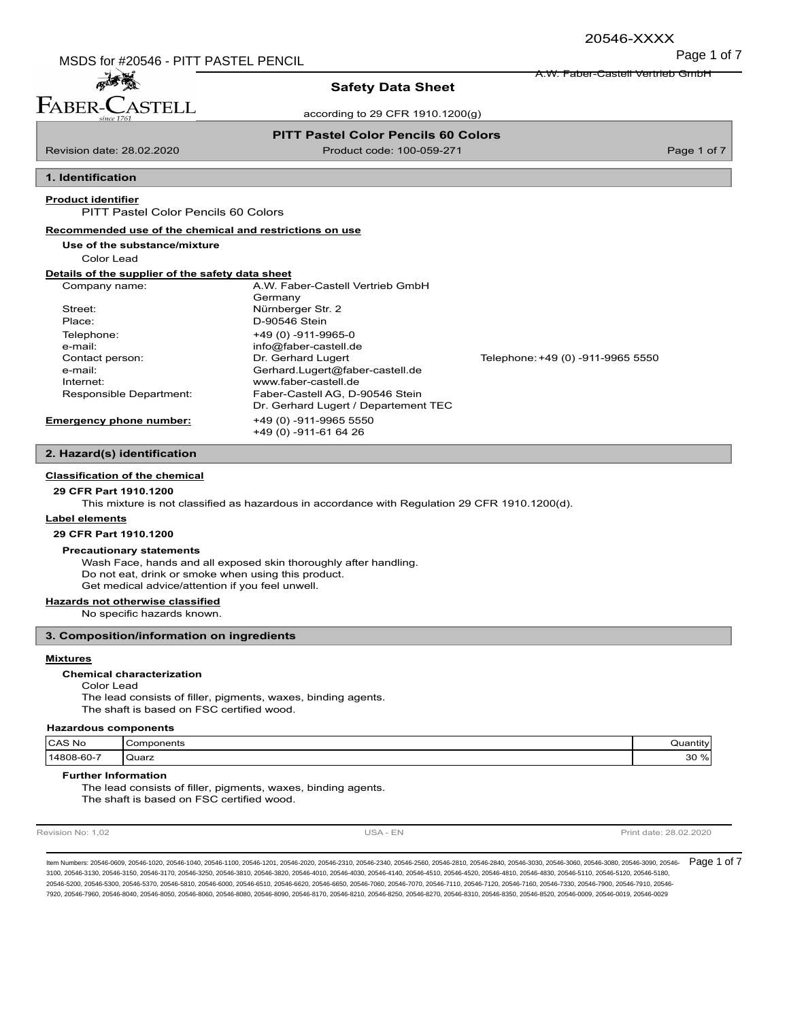Page 1 of 7 MSDS for #20546 - PITT PASTEL PENCIL

A.W. Faber-Castell Vertrieb GmbH

# 高等 FABER-CASTELL

### **Safety Data Sheet**

according to 29 CFR 1910.1200(g)

### **PITT Pastel Color Pencils 60 Colors**

Revision date: 28.02.2020 Product code: 100-059-271 Page 1 of 7

## **1. Identification**

#### **Product identifier**

PITT Pastel Color Pencils 60 Colors

#### **Recommended use of the chemical and restrictions on use**

**Use of the substance/mixture**

Color Lead

#### **Details of the supplier of the safety data sheet**

| A.W. Faber-Castell Vertrieb GmbH     |                                   |
|--------------------------------------|-----------------------------------|
| Germany                              |                                   |
| Nürnberger Str. 2                    |                                   |
| D-90546 Stein                        |                                   |
| +49 (0) -911-9965-0                  |                                   |
| info@faber-castell.de                |                                   |
| Dr. Gerhard Lugert                   | Telephone: +49 (0) -911-9965 5550 |
| Gerhard.Lugert@faber-castell.de      |                                   |
| www.faber-castell.de                 |                                   |
| Faber-Castell AG, D-90546 Stein      |                                   |
| Dr. Gerhard Lugert / Departement TEC |                                   |
| +49 (0) -911-9965 5550               |                                   |
| +49 (0) -911-61 64 26                |                                   |
|                                      |                                   |

### **2. Hazard(s) identification**

### **Classification of the chemical**

#### **29 CFR Part 1910.1200**

This mixture is not classified as hazardous in accordance with Regulation 29 CFR 1910.1200(d).

#### **Label elements**

**29 CFR Part 1910.1200**

#### **Precautionary statements**

Wash Face, hands and all exposed skin thoroughly after handling. Do not eat, drink or smoke when using this product. Get medical advice/attention if you feel unwell.

### **Hazards not otherwise classified**

No specific hazards known.

### **3. Composition/information on ingredients**

#### **Mixtures**

**Chemical characterization**

Color Lead The lead consists of filler, pigments, waxes, binding agents. The shaft is based on FSC certified wood.

#### **Hazardous components**

| CAS No        | `omponents<br>$\overline{\phantom{a}}$ | .<br>∵antitv. |
|---------------|----------------------------------------|---------------|
| 14808-60-7    | ' Quarz                                | $\%$          |
| $\sim$ $\sim$ |                                        | 30 ኣ          |

#### **Further Information**

The lead consists of filler, pigments, waxes, binding agents. The shaft is based on FSC certified wood.

Revision No: 1,02 **Print date: 28.02.2020** USA - EN USA - EN Print date: 28.02.2020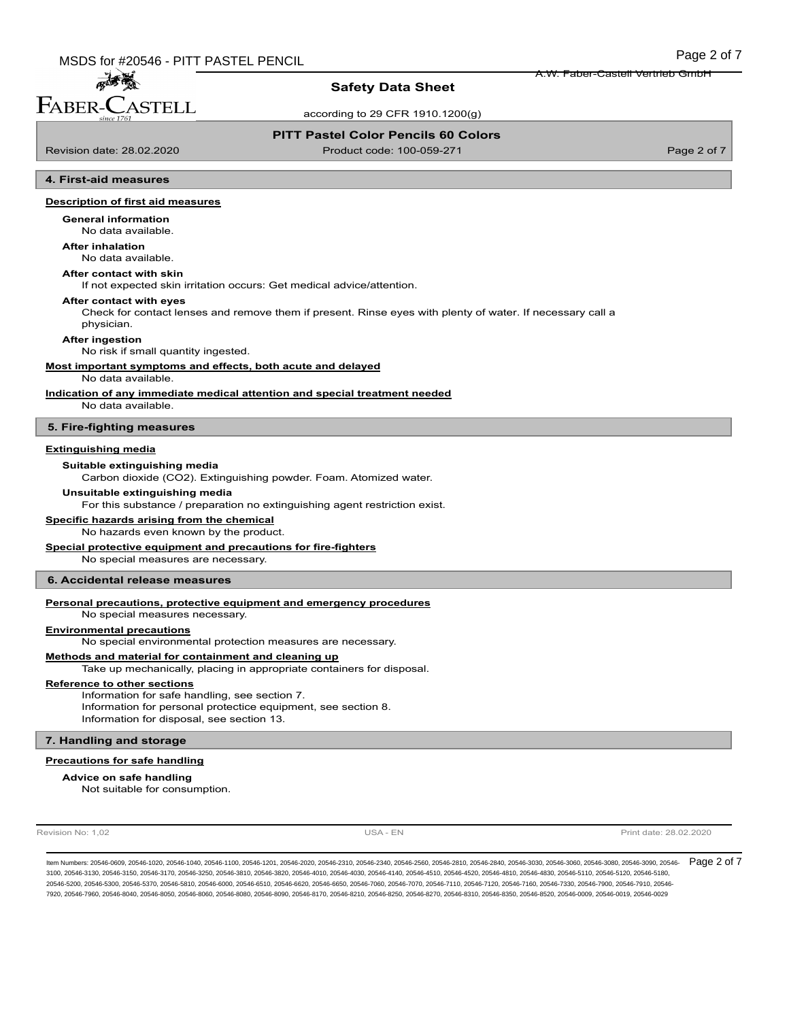### **Safety Data Sheet**

according to 29 CFR 1910.1200(g)

#### **PITT Pastel Color Pencils 60 Colors**

孟香 FABER-CASTELL

Revision date: 28.02.2020 Product code: 100-059-271 Page 2 of 7

A.W. Faber-Castell Vertrieb GmbH

#### **4. First-aid measures**

#### **Description of first aid measures**

No data available. **General information**

### **After inhalation**

No data available.

#### **After contact with skin**

If not expected skin irritation occurs: Get medical advice/attention.

#### **After contact with eyes**

Check for contact lenses and remove them if present. Rinse eyes with plenty of water. If necessary call a physician.

#### **After ingestion**

No risk if small quantity ingested.

#### **Most important symptoms and effects, both acute and delayed**

#### No data available.

**Indication of any immediate medical attention and special treatment needed**

No data available.

#### **5. Fire-fighting measures**

#### **Extinguishing media**

**Suitable extinguishing media**

Carbon dioxide (CO2). Extinguishing powder. Foam. Atomized water.

#### **Unsuitable extinguishing media**

For this substance / preparation no extinguishing agent restriction exist.

#### **Specific hazards arising from the chemical**

No hazards even known by the product.

#### **Special protective equipment and precautions for fire-fighters**

No special measures are necessary.

#### **6. Accidental release measures**

### **Personal precautions, protective equipment and emergency procedures**

No special measures necessary.

#### **Environmental precautions**

No special environmental protection measures are necessary.

#### **Methods and material for containment and cleaning up**

Take up mechanically, placing in appropriate containers for disposal.

#### **Reference to other sections**

Information for safe handling, see section 7. Information for personal protectice equipment, see section 8. Information for disposal, see section 13.

#### **7. Handling and storage**

#### **Precautions for safe handling**

#### **Advice on safe handling**

Not suitable for consumption.

Revision No: 1,02 **Print date: 28.02.2020** USA - EN USA - EN Print date: 28.02.2020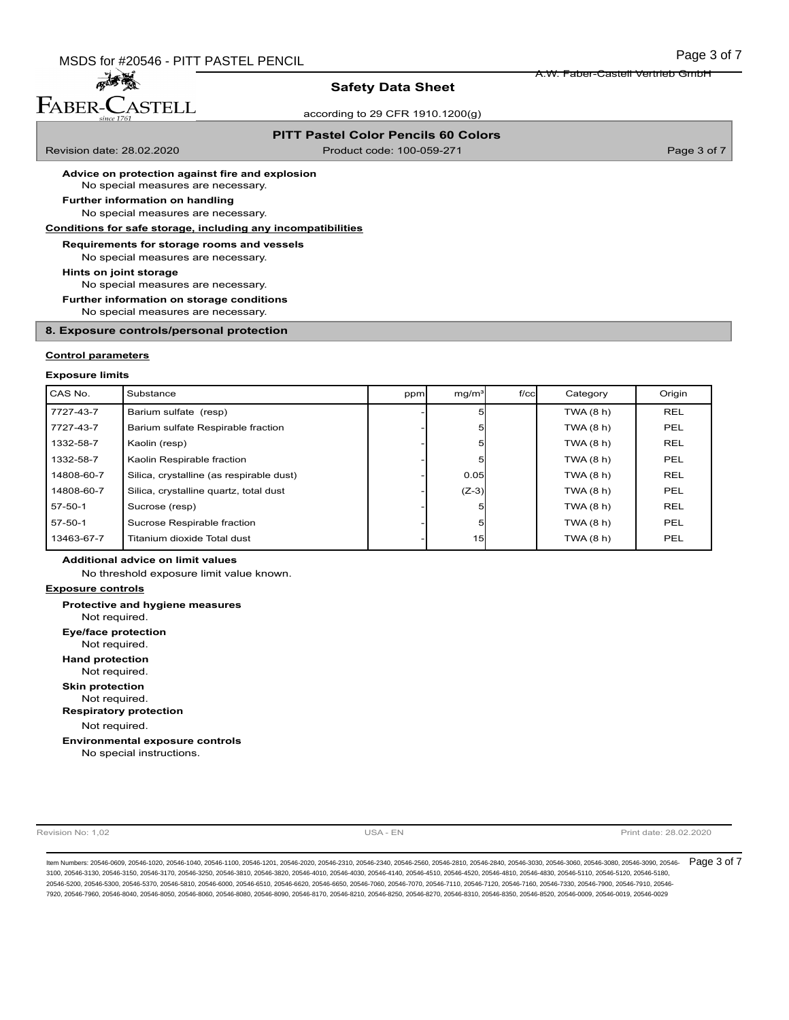### **Safety Data Sheet**

according to 29 CFR 1910.1200(g)

### **PITT Pastel Color Pencils 60 Colors**

高高 FABER-CASTELL

Revision date: 28.02.2020 Product code: 100-059-271 Page 3 of 7

A.W. Faber-Castell Vertrieb GmbH

**Advice on protection against fire and explosion**

No special measures are necessary.

No special measures are necessary. **Further information on handling**

#### **Conditions for safe storage, including any incompatibilities**

**Requirements for storage rooms and vessels**

No special measures are necessary.

**Hints on joint storage**

No special measures are necessary.

**Further information on storage conditions**

No special measures are necessary.

### **8. Exposure controls/personal protection**

#### **Control parameters**

#### **Exposure limits**

| CAS No.    | Substance                                | ppm | mq/m <sup>3</sup> | $f$ / $c$ cl | Category  | Origin     |
|------------|------------------------------------------|-----|-------------------|--------------|-----------|------------|
| 7727-43-7  | Barium sulfate (resp)                    |     |                   |              | TWA (8 h) | <b>REL</b> |
| 7727-43-7  | Barium sulfate Respirable fraction       |     |                   |              | TWA(8 h)  | <b>PEL</b> |
| 1332-58-7  | Kaolin (resp)                            |     |                   |              | TWA(8 h)  | <b>REL</b> |
| 1332-58-7  | Kaolin Respirable fraction               |     |                   |              | TWA(8 h)  | PEL        |
| 14808-60-7 | Silica, crystalline (as respirable dust) |     | 0.05              |              | TWA (8 h) | <b>REL</b> |
| 14808-60-7 | Silica, crystalline quartz, total dust   |     | $(Z-3)$           |              | TWA (8 h) | <b>PEL</b> |
| $57-50-1$  | Sucrose (resp)                           |     |                   |              | TWA(8 h)  | <b>REL</b> |
| $57-50-1$  | Sucrose Respirable fraction              |     |                   |              | TWA(8 h)  | <b>PEL</b> |
| 13463-67-7 | Titanium dioxide Total dust              |     | 15                |              | TWA(8 h)  | <b>PEL</b> |

#### **Additional advice on limit values**

No threshold exposure limit value known.

#### **Exposure controls**

Not required. **Protective and hygiene measures** Not required. **Eye/face protection** Not required. **Hand protection** Not required. **Skin protection** Not required. **Respiratory protection** No special instructions. **Environmental exposure controls**

Revision No: 1,02 **Print date: 28.02.2020** USA - EN USA - EN Print date: 28.02.2020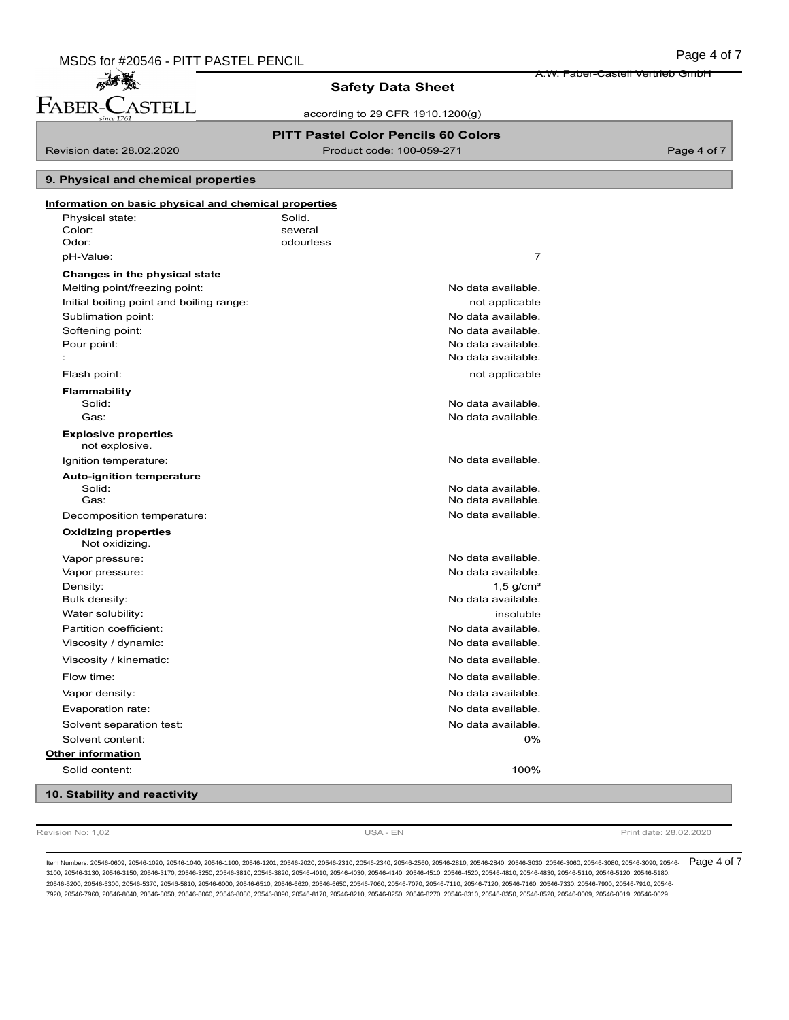### **Safety Data Sheet**

according to 29 CFR 1910.1200(g)

### **PITT Pastel Color Pencils 60 Colors**

麻香葱 FABER-CASTELL

Revision date: 28.02.2020 Product code: 100-059-271 Page 4 of 7

A.W. Faber-Castell Vertrieb GmbH

#### **9. Physical and chemical properties**

| Information on basic physical and chemical properties |                         |  |
|-------------------------------------------------------|-------------------------|--|
| Physical state:                                       | Solid.                  |  |
| Color:                                                | several                 |  |
| Odor:                                                 | odourless               |  |
| pH-Value:                                             | $\overline{7}$          |  |
| Changes in the physical state                         |                         |  |
| Melting point/freezing point:                         | No data available.      |  |
| Initial boiling point and boiling range:              | not applicable          |  |
| Sublimation point:                                    | No data available.      |  |
| Softening point:                                      | No data available.      |  |
| Pour point:                                           | No data available.      |  |
|                                                       | No data available.      |  |
| Flash point:                                          | not applicable          |  |
| <b>Flammability</b>                                   |                         |  |
| Solid:                                                | No data available.      |  |
| Gas:                                                  | No data available.      |  |
| <b>Explosive properties</b><br>not explosive.         |                         |  |
| Ignition temperature:                                 | No data available.      |  |
| <b>Auto-ignition temperature</b>                      |                         |  |
| Solid:                                                | No data available.      |  |
| Gas:                                                  | No data available.      |  |
| Decomposition temperature:                            | No data available.      |  |
| <b>Oxidizing properties</b><br>Not oxidizing.         |                         |  |
| Vapor pressure:                                       | No data available.      |  |
| Vapor pressure:                                       | No data available.      |  |
| Density:                                              | $1,5$ g/cm <sup>3</sup> |  |
| Bulk density:                                         | No data available.      |  |
| Water solubility:                                     | insoluble               |  |
| Partition coefficient:                                | No data available.      |  |
| Viscosity / dynamic:                                  | No data available.      |  |
| Viscosity / kinematic:                                | No data available.      |  |
| Flow time:                                            | No data available.      |  |
| Vapor density:                                        | No data available.      |  |
| Evaporation rate:                                     | No data available.      |  |
| Solvent separation test:                              | No data available.      |  |
| Solvent content:                                      | 0%                      |  |
| <b>Other information</b>                              |                         |  |
| Solid content:                                        | 100%                    |  |
| 10. Stability and reactivity                          |                         |  |

Revision No: 1,02 **Print date: 28.02.2020** USA - EN USA - EN Print date: 28.02.2020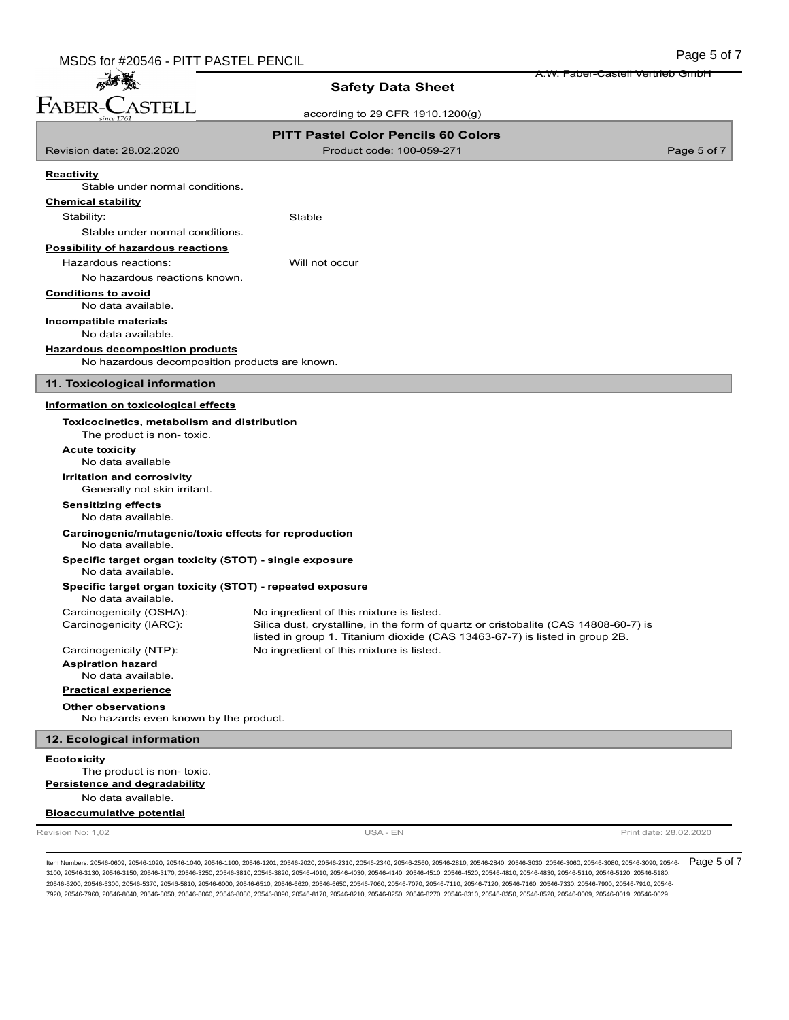麻香葱 FABER-CASTELL

### **Safety Data Sheet**

according to 29 CFR 1910.1200(g)

|                                                                                         | <b>PITT Pastel Color Pencils 60 Colors</b>                                                                                      |                        |
|-----------------------------------------------------------------------------------------|---------------------------------------------------------------------------------------------------------------------------------|------------------------|
| Revision date: 28.02.2020                                                               | Product code: 100-059-271                                                                                                       | Page 5 of 7            |
| Reactivity                                                                              |                                                                                                                                 |                        |
| Stable under normal conditions.                                                         |                                                                                                                                 |                        |
| <b>Chemical stability</b>                                                               |                                                                                                                                 |                        |
| Stability:                                                                              | Stable                                                                                                                          |                        |
| Stable under normal conditions.                                                         |                                                                                                                                 |                        |
| <b>Possibility of hazardous reactions</b>                                               |                                                                                                                                 |                        |
| Hazardous reactions:                                                                    | Will not occur                                                                                                                  |                        |
| No hazardous reactions known.                                                           |                                                                                                                                 |                        |
| <b>Conditions to avoid</b><br>No data available.                                        |                                                                                                                                 |                        |
| <b>Incompatible materials</b>                                                           |                                                                                                                                 |                        |
| No data available.                                                                      |                                                                                                                                 |                        |
| <b>Hazardous decomposition products</b>                                                 |                                                                                                                                 |                        |
| No hazardous decomposition products are known.                                          |                                                                                                                                 |                        |
| 11. Toxicological information                                                           |                                                                                                                                 |                        |
| Information on toxicological effects                                                    |                                                                                                                                 |                        |
| Toxicocinetics, metabolism and distribution<br>The product is non-toxic.                |                                                                                                                                 |                        |
| <b>Acute toxicity</b><br>No data available                                              |                                                                                                                                 |                        |
| Irritation and corrosivity<br>Generally not skin irritant.                              |                                                                                                                                 |                        |
| <b>Sensitizing effects</b><br>No data available.                                        |                                                                                                                                 |                        |
| Carcinogenic/mutagenic/toxic effects for reproduction<br>No data available.             |                                                                                                                                 |                        |
| Specific target organ toxicity (STOT) - single exposure<br>No data available.           |                                                                                                                                 |                        |
| Specific target organ toxicity (STOT) - repeated exposure<br>No data available.         |                                                                                                                                 |                        |
| Carcinogenicity (OSHA):<br>Carcinogenicity (IARC):                                      | No ingredient of this mixture is listed.<br>Silica dust, crystalline, in the form of quartz or cristobalite (CAS 14808-60-7) is |                        |
| Carcinogenicity (NTP):                                                                  | listed in group 1. Titanium dioxide (CAS 13463-67-7) is listed in group 2B.<br>No ingredient of this mixture is listed.         |                        |
| <b>Aspiration hazard</b>                                                                |                                                                                                                                 |                        |
| No data available.<br><b>Practical experience</b>                                       |                                                                                                                                 |                        |
|                                                                                         |                                                                                                                                 |                        |
| <b>Other observations</b><br>No hazards even known by the product.                      |                                                                                                                                 |                        |
| 12. Ecological information                                                              |                                                                                                                                 |                        |
| <b>Ecotoxicity</b><br>The product is non-toxic.<br><b>Persistence and degradability</b> |                                                                                                                                 |                        |
| No data available.                                                                      |                                                                                                                                 |                        |
| <b>Bioaccumulative potential</b>                                                        |                                                                                                                                 |                        |
| Revision No: 1,02                                                                       | USA - EN                                                                                                                        | Print date: 28.02.2020 |

ltem Numbers: 20546-0609, 20546-1020, 20546-1040, 20546-1100, 20546-1201, 20546-2020, 20546-2310, 20546-2540, 20546-2810, 20546-2810, 20546-2840, 20546-3030, 20546-3080, 20546-3080, 20546-3080, 20546-3090, 20546-3080, 2054 3100, 20546-3130, 20546-3150, 20546-3170, 20546-3250, 20546-3810, 20546-3820, 20546-4010, 20546-4030, 20546-4140, 20546-4510, 20546-4520, 20546-4810, 20546-4830, 20546-5110, 20546-5120, 20546-5180, 20546-5200, 20546-5300, 20546-5370, 20546-5810, 20546-6000, 20546-6510, 20546-6620, 20546-6650, 20546-7060, 20546-7070, 20546-7110, 20546-7120, 20546-7160, 20546-7330, 20546-7900, 20546-7910, 20546- 7920, 20546-7960, 20546-8040, 20546-8050, 20546-8060, 20546-8080, 20546-8090, 20546-8170, 20546-8210, 20546-8250, 20546-8270, 20546-8310, 20546-8350, 20546-8520, 20546-0009, 20546-0019, 20546-0029

A.W. Faber-Castell Vertrieb GmbH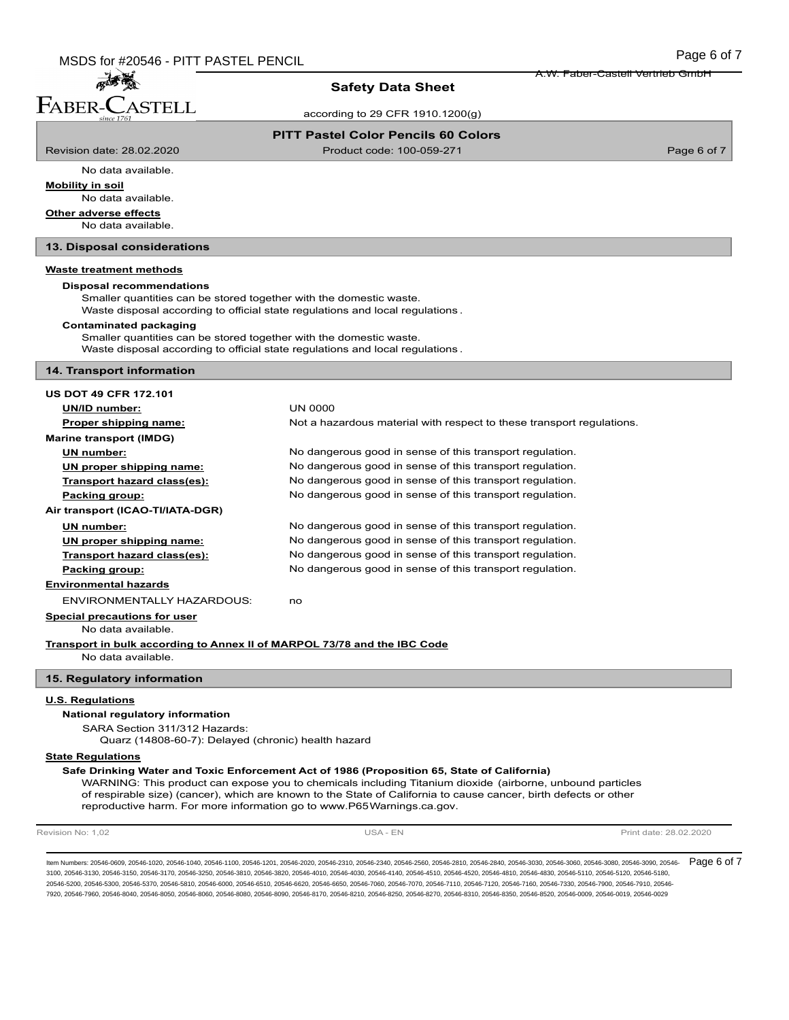孟子 FABER-CASTELL

### **Safety Data Sheet**

according to 29 CFR 1910.1200(g)

### **PITT Pastel Color Pencils 60 Colors**

Revision date: 28.02.2020 Product code: 100-059-271 Page 6 of 7

A.W. Faber-Castell Vertrieb GmbH

No data available. **Mobility in soil**

No data available.

**Other adverse effects**

No data available.

**13. Disposal considerations**

### **Waste treatment methods**

#### **Disposal recommendations**

Smaller quantities can be stored together with the domestic waste.

Waste disposal according to official state regulations and local regulations .

#### **Contaminated packaging**

Smaller quantities can be stored together with the domestic waste. Waste disposal according to official state regulations and local regulations .

#### **14. Transport information**

| <b>US DOT 49 CFR 172.101</b>                                             |                                                                       |  |
|--------------------------------------------------------------------------|-----------------------------------------------------------------------|--|
| UN/ID number:                                                            | <b>UN 0000</b>                                                        |  |
| Proper shipping name:                                                    | Not a hazardous material with respect to these transport regulations. |  |
| <b>Marine transport (IMDG)</b>                                           |                                                                       |  |
| UN number:                                                               | No dangerous good in sense of this transport regulation.              |  |
| UN proper shipping name:                                                 | No dangerous good in sense of this transport regulation.              |  |
| Transport hazard class(es):                                              | No dangerous good in sense of this transport regulation.              |  |
| Packing group:                                                           | No dangerous good in sense of this transport regulation.              |  |
| Air transport (ICAO-TI/IATA-DGR)                                         |                                                                       |  |
| UN number:                                                               | No dangerous good in sense of this transport regulation.              |  |
| UN proper shipping name:                                                 | No dangerous good in sense of this transport regulation.              |  |
| Transport hazard class(es):                                              | No dangerous good in sense of this transport regulation.              |  |
| Packing group:                                                           | No dangerous good in sense of this transport regulation.              |  |
| <b>Environmental hazards</b>                                             |                                                                       |  |
| <b>ENVIRONMENTALLY HAZARDOUS:</b>                                        | no                                                                    |  |
| <b>Special precautions for user</b>                                      |                                                                       |  |
| No data available.                                                       |                                                                       |  |
| Transport in bulk according to Annex II of MARPOL 73/78 and the IBC Code |                                                                       |  |
| No data available.                                                       |                                                                       |  |
| 15. Regulatory information                                               |                                                                       |  |

#### **U.S. Regulations**

#### **National regulatory information**

SARA Section 311/312 Hazards:

Quarz (14808-60-7): Delayed (chronic) health hazard

#### **State Regulations**

### **Safe Drinking Water and Toxic Enforcement Act of 1986 (Proposition 65, State of California)**

WARNING: This product can expose you to chemicals including Titanium dioxide (airborne, unbound particles of respirable size) (cancer), which are known to the State of California to cause cancer, birth defects or other reproductive harm. For more information go to www.P65Warnings.ca.gov.

Revision No: 1,02 **Print date: 28.02.2020** USA - EN USA - EN Print date: 28.02.2020